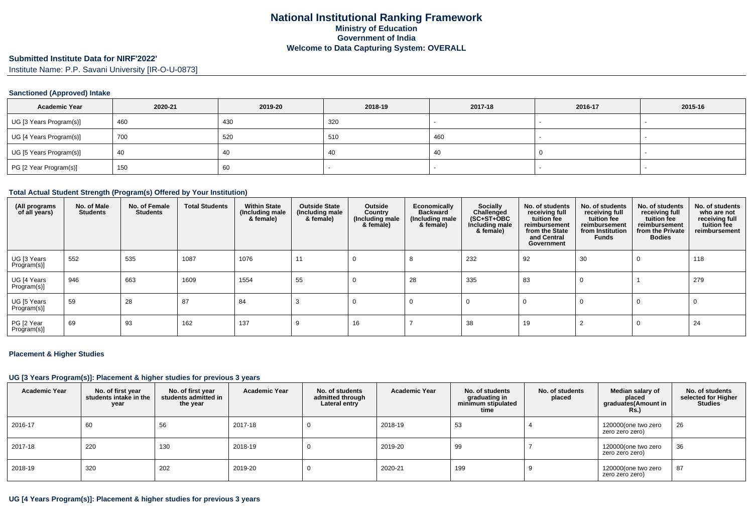### **Submitted Institute Data for NIRF'2022'**

Institute Name: P.P. Savani University [IR-O-U-0873]

## **Sanctioned (Approved) Intake**

| <b>Academic Year</b>    | 2020-21 | 2019-20 | 2018-19 | 2017-18 | 2016-17 | 2015-16                  |
|-------------------------|---------|---------|---------|---------|---------|--------------------------|
| UG [3 Years Program(s)] | 460     | 430     | 320     |         |         | $\overline{\phantom{a}}$ |
| UG [4 Years Program(s)] | 700     | 520     | 510     | 460     |         |                          |
| UG [5 Years Program(s)] | 40      | 40      | -40     | 40      |         |                          |
| PG [2 Year Program(s)]  | 150     | 60      |         |         |         |                          |

#### **Total Actual Student Strength (Program(s) Offered by Your Institution)**

| (All programs<br>of all years) | No. of Male<br><b>Students</b> | No. of Female<br><b>Students</b> | <b>Total Students</b> | <b>Within State</b><br>(Including male<br>& female) | <b>Outside State</b><br>(Including male<br>& female) | Outside<br>Country<br>(Including male)<br>& female) | Economically<br><b>Backward</b><br>(Including male<br>& female) | Socially<br>Challenged<br>$(SC+ST+OBC)$<br>Including male<br>& female) | No. of students<br>receiving full<br>tuition fee<br>reimbursement<br>from the State<br>and Central<br>Government | No. of students<br>receiving full<br>tuition fee<br>reimbursement<br>from Institution<br>Funds | No. of students<br>receiving full<br>tuition fee<br>reimbursement<br>from the Private<br><b>Bodies</b> | No. of students<br>who are not<br>receiving full<br>tuition fee<br>reimbursement |
|--------------------------------|--------------------------------|----------------------------------|-----------------------|-----------------------------------------------------|------------------------------------------------------|-----------------------------------------------------|-----------------------------------------------------------------|------------------------------------------------------------------------|------------------------------------------------------------------------------------------------------------------|------------------------------------------------------------------------------------------------|--------------------------------------------------------------------------------------------------------|----------------------------------------------------------------------------------|
| UG [3 Years<br>Program(s)]     | 552                            | 535                              | 1087                  | 1076                                                | 11                                                   |                                                     |                                                                 | 232                                                                    | 92                                                                                                               | 30                                                                                             | $\Omega$                                                                                               | 118                                                                              |
| UG [4 Years<br>Program(s)]     | 946                            | 663                              | 1609                  | 1554                                                | 55                                                   | 0                                                   | 28                                                              | 335                                                                    | 83                                                                                                               | 0                                                                                              |                                                                                                        | 279                                                                              |
| UG [5 Years<br>Program(s)]     | 59                             | 28                               | 87                    | 84                                                  | З                                                    | U                                                   |                                                                 | 0                                                                      |                                                                                                                  | 0                                                                                              | 0                                                                                                      | 0                                                                                |
| PG [2 Year<br>Program(s)]      | 69                             | 93                               | 162                   | 137                                                 | 9                                                    | 16                                                  |                                                                 | 38                                                                     | 19                                                                                                               |                                                                                                | 0                                                                                                      | 24                                                                               |

#### **Placement & Higher Studies**

#### **UG [3 Years Program(s)]: Placement & higher studies for previous 3 years**

| <b>Academic Year</b> | No. of first year<br>students intake in the<br>year | No. of first vear<br>students admitted in<br>the year | <b>Academic Year</b> | No. of students<br>admitted through<br>Lateral entry | Academic Year | No. of students<br>graduating in<br>minimum stipulated<br>time | No. of students<br>placed | Median salary of<br>placed<br>graduates(Amount in<br><b>Rs.)</b> | No. of students<br>selected for Higher<br><b>Studies</b> |
|----------------------|-----------------------------------------------------|-------------------------------------------------------|----------------------|------------------------------------------------------|---------------|----------------------------------------------------------------|---------------------------|------------------------------------------------------------------|----------------------------------------------------------|
| 2016-17              | 60                                                  | 56                                                    | 2017-18              |                                                      | 2018-19       | 53                                                             |                           | 120000(one two zero<br>zero zero zero)                           | 26                                                       |
| 2017-18              | 220                                                 | 130                                                   | 2018-19              | -0                                                   | 2019-20       | 99                                                             |                           | 120000(one two zero<br>zero zero zero)                           | 36                                                       |
| 2018-19              | 320                                                 | 202                                                   | 2019-20              |                                                      | 2020-21       | 199                                                            |                           | 120000(one two zero<br>zero zero zero)                           | 87                                                       |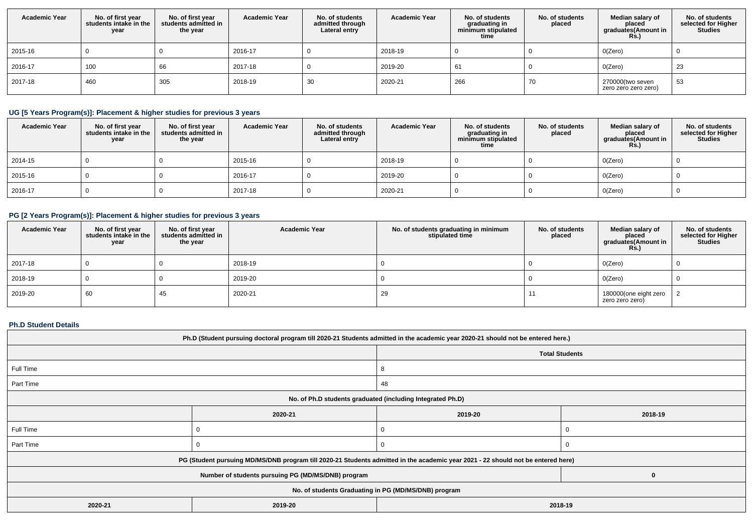| <b>Academic Year</b> | No. of first year<br>students intake in the<br>year | No. of first year<br>students admitted in<br>the year | <b>Academic Year</b> | No. of students<br>admitted through<br>Lateral entry | <b>Academic Year</b> | No. of students<br>graduating in<br>minimum stipulated<br>time | No. of students<br>placed | Median salary of<br>placed<br>graduates(Amount in<br><b>Rs.)</b> | No. of students<br>selected for Higher<br><b>Studies</b> |
|----------------------|-----------------------------------------------------|-------------------------------------------------------|----------------------|------------------------------------------------------|----------------------|----------------------------------------------------------------|---------------------------|------------------------------------------------------------------|----------------------------------------------------------|
| 2015-16              |                                                     |                                                       | 2016-17              |                                                      | 2018-19              |                                                                |                           | 0(Zero)                                                          |                                                          |
| 2016-17              | 100                                                 | 66                                                    | 2017-18              |                                                      | 2019-20              | 61                                                             |                           | 0(Zero)                                                          | 23                                                       |
| 2017-18              | 460                                                 | 305                                                   | 2018-19              | 30                                                   | 2020-21              | 266                                                            | 70                        | 270000(two seven<br>zero zero zero zero)                         | 53                                                       |

# **UG [5 Years Program(s)]: Placement & higher studies for previous 3 years**

| <b>Academic Year</b> | No. of first year<br>students intake in the<br>year | No. of first year<br>students admitted in<br>the year | <b>Academic Year</b> | No. of students<br>admitted through<br>Lateral entry | <b>Academic Year</b> | No. of students<br>graduating in<br>minimum stipulated<br>time | No. of students<br>placed | Median salary of<br>placed<br>graduates(Amount in<br><b>Rs.)</b> | No. of students<br>selected for Higher<br>Studies |
|----------------------|-----------------------------------------------------|-------------------------------------------------------|----------------------|------------------------------------------------------|----------------------|----------------------------------------------------------------|---------------------------|------------------------------------------------------------------|---------------------------------------------------|
| 2014-15              |                                                     |                                                       | 2015-16              |                                                      | 2018-19              |                                                                |                           | O(Zero)                                                          |                                                   |
| 2015-16              |                                                     |                                                       | 2016-17              |                                                      | 2019-20              |                                                                |                           | O(Zero)                                                          |                                                   |
| 2016-17              |                                                     |                                                       | 2017-18              |                                                      | 2020-21              |                                                                |                           | O(Zero)                                                          |                                                   |

# **PG [2 Years Program(s)]: Placement & higher studies for previous 3 years**

| <b>Academic Year</b> | No. of first year $ $ students intake in the<br>year | No. of first year<br>students admitted in<br>the year | <b>Academic Year</b> | No. of students graduating in minimum<br>stipulated time | No. of students<br>placed | Median salary of<br>placed<br>graduates(Amount in<br>Rs.) | No. of students<br>selected for Higher<br><b>Studies</b> |
|----------------------|------------------------------------------------------|-------------------------------------------------------|----------------------|----------------------------------------------------------|---------------------------|-----------------------------------------------------------|----------------------------------------------------------|
| 2017-18              |                                                      |                                                       | 2018-19              |                                                          |                           | O(Zero)                                                   |                                                          |
| 2018-19              |                                                      |                                                       | 2019-20              |                                                          |                           | O(Zero)                                                   |                                                          |
| 2019-20              | 60                                                   | 45                                                    | 2020-21              | 29                                                       |                           | 180000(one eight zero<br>zero zero zero)                  |                                                          |

## **Ph.D Student Details**

| Ph.D (Student pursuing doctoral program till 2020-21 Students admitted in the academic year 2020-21 should not be entered here.) |         |                                                                                                                                                           |  |  |  |  |
|----------------------------------------------------------------------------------------------------------------------------------|---------|-----------------------------------------------------------------------------------------------------------------------------------------------------------|--|--|--|--|
|                                                                                                                                  |         |                                                                                                                                                           |  |  |  |  |
|                                                                                                                                  |         |                                                                                                                                                           |  |  |  |  |
|                                                                                                                                  | 48      |                                                                                                                                                           |  |  |  |  |
| No. of Ph.D students graduated (including Integrated Ph.D)                                                                       |         |                                                                                                                                                           |  |  |  |  |
| 2020-21                                                                                                                          | 2019-20 | 2018-19                                                                                                                                                   |  |  |  |  |
|                                                                                                                                  |         |                                                                                                                                                           |  |  |  |  |
|                                                                                                                                  | O       |                                                                                                                                                           |  |  |  |  |
|                                                                                                                                  |         |                                                                                                                                                           |  |  |  |  |
| Number of students pursuing PG (MD/MS/DNB) program                                                                               |         | $\bf{0}$                                                                                                                                                  |  |  |  |  |
| No. of students Graduating in PG (MD/MS/DNB) program                                                                             |         |                                                                                                                                                           |  |  |  |  |
| 2020-21<br>2019-20<br>2018-19                                                                                                    |         |                                                                                                                                                           |  |  |  |  |
|                                                                                                                                  |         | <b>Total Students</b><br>PG (Student pursuing MD/MS/DNB program till 2020-21 Students admitted in the academic year 2021 - 22 should not be entered here) |  |  |  |  |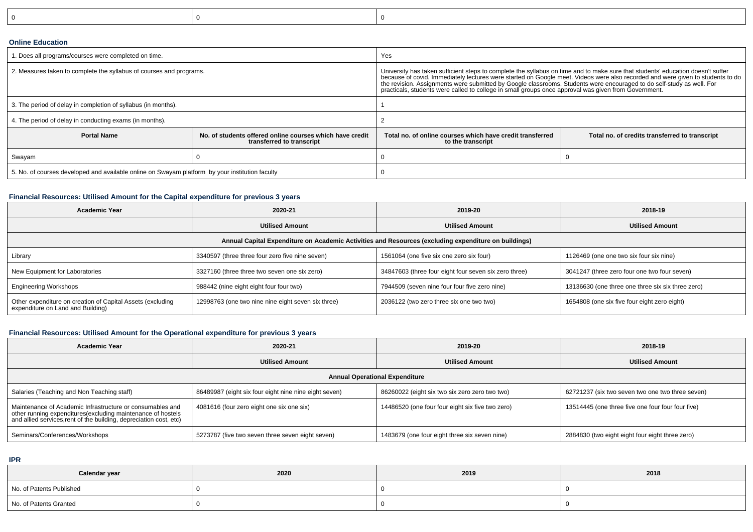|--|--|--|

#### **Online Education**

| I. Does all programs/courses were completed on time.                                            |                                                                                       | Yes                                                                                                                                                                                                                                                                                                                                                                                                                                                                                                |                                                |  |  |
|-------------------------------------------------------------------------------------------------|---------------------------------------------------------------------------------------|----------------------------------------------------------------------------------------------------------------------------------------------------------------------------------------------------------------------------------------------------------------------------------------------------------------------------------------------------------------------------------------------------------------------------------------------------------------------------------------------------|------------------------------------------------|--|--|
| 2. Measures taken to complete the syllabus of courses and programs.                             |                                                                                       | University has taken sufficient steps to complete the syllabus on time and to make sure that students' education doesn't suffer<br>because of covid. Immediately lectures were started on Google meet. Videos were also recorded and were given to students to do<br>the revision. Assignments were submitted by Google classrooms. Students were encouraged to do self-study as well. For<br>practicals, students were called to college in small groups once approval was given from Government. |                                                |  |  |
| 3. The period of delay in completion of syllabus (in months).                                   |                                                                                       |                                                                                                                                                                                                                                                                                                                                                                                                                                                                                                    |                                                |  |  |
| 4. The period of delay in conducting exams (in months).                                         |                                                                                       |                                                                                                                                                                                                                                                                                                                                                                                                                                                                                                    |                                                |  |  |
| <b>Portal Name</b>                                                                              | No, of students offered online courses which have credit<br>transferred to transcript |                                                                                                                                                                                                                                                                                                                                                                                                                                                                                                    | Total no. of credits transferred to transcript |  |  |
| Swayam                                                                                          |                                                                                       |                                                                                                                                                                                                                                                                                                                                                                                                                                                                                                    |                                                |  |  |
| 5. No. of courses developed and available online on Swayam platform by your institution faculty |                                                                                       |                                                                                                                                                                                                                                                                                                                                                                                                                                                                                                    |                                                |  |  |

# **Financial Resources: Utilised Amount for the Capital expenditure for previous 3 years**

| <b>Academic Year</b>                                                                                 | 2020-21                                            | 2019-20                                               | 2018-19                                           |  |  |  |  |
|------------------------------------------------------------------------------------------------------|----------------------------------------------------|-------------------------------------------------------|---------------------------------------------------|--|--|--|--|
|                                                                                                      | <b>Utilised Amount</b>                             |                                                       | <b>Utilised Amount</b>                            |  |  |  |  |
| Annual Capital Expenditure on Academic Activities and Resources (excluding expenditure on buildings) |                                                    |                                                       |                                                   |  |  |  |  |
| Library                                                                                              | 3340597 (three three four zero five nine seven)    | 1561064 (one five six one zero six four)              | 1126469 (one one two six four six nine)           |  |  |  |  |
| New Equipment for Laboratories                                                                       | 3327160 (three three two seven one six zero)       | 34847603 (three four eight four seven six zero three) | 3041247 (three zero four one two four seven)      |  |  |  |  |
| <b>Engineering Workshops</b>                                                                         | 988442 (nine eight eight four four two)            | 7944509 (seven nine four four five zero nine)         | 13136630 (one three one three six six three zero) |  |  |  |  |
| Other expenditure on creation of Capital Assets (excluding<br>expenditure on Land and Building)      | 12998763 (one two nine nine eight seven six three) | 2036122 (two zero three six one two two)              | 1654808 (one six five four eight zero eight)      |  |  |  |  |

# **Financial Resources: Utilised Amount for the Operational expenditure for previous 3 years**

| <b>Academic Year</b>                                                                                                                                                                            | 2020-21                                               | 2019-20                                          | 2018-19                                           |  |  |  |  |
|-------------------------------------------------------------------------------------------------------------------------------------------------------------------------------------------------|-------------------------------------------------------|--------------------------------------------------|---------------------------------------------------|--|--|--|--|
|                                                                                                                                                                                                 | <b>Utilised Amount</b>                                |                                                  | <b>Utilised Amount</b>                            |  |  |  |  |
| <b>Annual Operational Expenditure</b>                                                                                                                                                           |                                                       |                                                  |                                                   |  |  |  |  |
| Salaries (Teaching and Non Teaching staff)                                                                                                                                                      | 86489987 (eight six four eight nine nine eight seven) | 86260022 (eight six two six zero zero two two)   | 62721237 (six two seven two one two three seven)  |  |  |  |  |
| Maintenance of Academic Infrastructure or consumables and<br>other running expenditures (excluding maintenance of hostels<br>and allied services, rent of the building, depreciation cost, etc) | 4081616 (four zero eight one six one six)             | 14486520 (one four four eight six five two zero) | 13514445 (one three five one four four four five) |  |  |  |  |
| Seminars/Conferences/Workshops                                                                                                                                                                  | 5273787 (five two seven three seven eight seven)      | 1483679 (one four eight three six seven nine)    | 2884830 (two eight eight four eight three zero)   |  |  |  |  |

**IPR**

| Calendar year            | 2020 | 2019 | 2018 |
|--------------------------|------|------|------|
| No. of Patents Published |      |      |      |
| No. of Patents Granted   |      |      |      |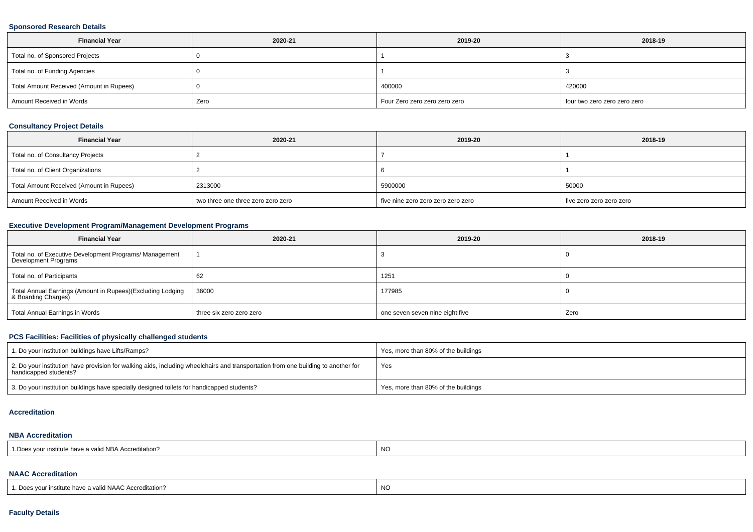#### **Sponsored Research Details**

| <b>Financial Year</b>                    | 2020-21 | 2019-20                       | 2018-19                      |
|------------------------------------------|---------|-------------------------------|------------------------------|
| Total no. of Sponsored Projects          |         |                               |                              |
| Total no. of Funding Agencies            |         |                               |                              |
| Total Amount Received (Amount in Rupees) |         | 400000                        | 420000                       |
| Amount Received in Words                 | Zero    | Four Zero zero zero zero zero | four two zero zero zero zero |

## **Consultancy Project Details**

| <b>Financial Year</b>                    | 2020-21                            | 2019-20                            | 2018-19                  |
|------------------------------------------|------------------------------------|------------------------------------|--------------------------|
| Total no. of Consultancy Projects        |                                    |                                    |                          |
| Total no. of Client Organizations        |                                    |                                    |                          |
| Total Amount Received (Amount in Rupees) | 2313000                            | 5900000                            | 50000                    |
| Amount Received in Words                 | two three one three zero zero zero | five nine zero zero zero zero zero | five zero zero zero zero |

# **Executive Development Program/Management Development Programs**

| <b>Financial Year</b>                                                             | 2020-21                  | 2019-20                         | 2018-19 |
|-----------------------------------------------------------------------------------|--------------------------|---------------------------------|---------|
| Total no. of Executive Development Programs/ Management<br>Development Programs   |                          |                                 |         |
| Total no. of Participants                                                         | 62                       | 1251                            |         |
| Total Annual Earnings (Amount in Rupees)(Excluding Lodging<br>& Boarding Charges) | 36000                    | 177985                          |         |
| Total Annual Earnings in Words                                                    | three six zero zero zero | one seven seven nine eight five | Zero    |

# **PCS Facilities: Facilities of physically challenged students**

| 1. Do your institution buildings have Lifts/Ramps?                                                                                                         | Yes, more than 80% of the buildings |
|------------------------------------------------------------------------------------------------------------------------------------------------------------|-------------------------------------|
| 2. Do your institution have provision for walking aids, including wheelchairs and transportation from one building to another for<br>handicapped students? | Yes                                 |
| 3. Do your institution buildings have specially designed toilets for handicapped students?                                                                 | Yes, more than 80% of the buildings |

#### **Accreditation**

### **NBA Accreditation**

| . NC<br>a valid NBA Accreditation?<br>TIISUUUE HAVE A ' |
|---------------------------------------------------------|
|---------------------------------------------------------|

## **NAAC Accreditation**

| $\overline{M}$<br><b>AIA A</b><br>Doe<br>→ valid NAAC Accreditation.<br>` vour institute nave a ∖<br>--<br>◡⊮ו |  |
|----------------------------------------------------------------------------------------------------------------|--|
|----------------------------------------------------------------------------------------------------------------|--|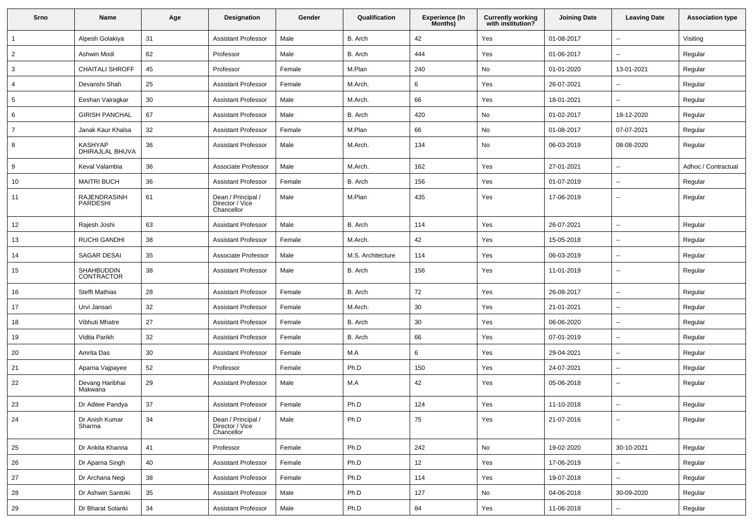| Srno           | Name                              | Age | <b>Designation</b>                                  | Gender | Qualification     | Experience (In<br>Months) | <b>Currently working</b><br>with institution? | <b>Joining Date</b> | <b>Leaving Date</b>      | <b>Association type</b> |
|----------------|-----------------------------------|-----|-----------------------------------------------------|--------|-------------------|---------------------------|-----------------------------------------------|---------------------|--------------------------|-------------------------|
| $\mathbf{1}$   | Alpesh Golakiya                   | 31  | <b>Assistant Professor</b>                          | Male   | B. Arch           | 42                        | Yes                                           | 01-08-2017          | $\overline{\phantom{a}}$ | Visiting                |
| $\overline{2}$ | Ashwin Modi                       | 62  | Professor                                           | Male   | B. Arch           | 444                       | Yes                                           | 01-06-2017          | $\overline{\phantom{a}}$ | Regular                 |
| 3              | <b>CHAITALI SHROFF</b>            | 45  | Professor                                           | Female | M.Plan            | 240                       | No                                            | 01-01-2020          | 13-01-2021               | Regular                 |
| 4              | Devanshi Shah                     | 25  | <b>Assistant Professor</b>                          | Female | M.Arch.           | 6                         | Yes                                           | 26-07-2021          | $\overline{\phantom{a}}$ | Regular                 |
| 5              | Eeshan Vairagkar                  | 30  | <b>Assistant Professor</b>                          | Male   | M.Arch.           | 66                        | Yes                                           | 18-01-2021          | $\overline{\phantom{a}}$ | Regular                 |
| 6              | <b>GIRISH PANCHAL</b>             | 67  | <b>Assistant Professor</b>                          | Male   | B. Arch           | 420                       | No                                            | 01-02-2017          | 18-12-2020               | Regular                 |
| 7              | Janak Kaur Khalsa                 | 32  | <b>Assistant Professor</b>                          | Female | M.Plan            | 66                        | No                                            | 01-08-2017          | 07-07-2021               | Regular                 |
| 8              | <b>KASHYAP</b><br>DHIRAJLAL BHUVA | 36  | <b>Assistant Professor</b>                          | Male   | M.Arch.           | 134                       | No                                            | 06-03-2019          | 08-08-2020               | Regular                 |
| 9              | Keval Valambia                    | 36  | Associate Professor                                 | Male   | M.Arch.           | 162                       | Yes                                           | 27-01-2021          | $\overline{\phantom{a}}$ | Adhoc / Contractual     |
| 10             | <b>MAITRI BUCH</b>                | 36  | <b>Assistant Professor</b>                          | Female | B. Arch           | 156                       | Yes                                           | 01-07-2019          | $\mathbf{u}$             | Regular                 |
| 11             | RAJENDRASINH<br><b>PARDESHI</b>   | 61  | Dean / Principal /<br>Director / Vice<br>Chancellor | Male   | M.Plan            | 435                       | Yes                                           | 17-06-2019          | $\overline{\phantom{a}}$ | Regular                 |
| 12             | Rajesh Joshi                      | 63  | <b>Assistant Professor</b>                          | Male   | B. Arch           | 114                       | Yes                                           | 26-07-2021          | $\mathbf{u}$             | Regular                 |
| 13             | <b>RUCHI GANDHI</b>               | 38  | <b>Assistant Professor</b>                          | Female | M.Arch.           | 42                        | Yes                                           | 15-05-2018          | $\overline{\phantom{a}}$ | Regular                 |
| 14             | SAGAR DESAI                       | 35  | Associate Professor                                 | Male   | M.S. Architecture | 114                       | Yes                                           | 06-03-2019          | $\overline{\phantom{a}}$ | Regular                 |
| 15             | SHAHBUDDIN<br><b>CONTRACTOR</b>   | 38  | <b>Assistant Professor</b>                          | Male   | B. Arch           | 156                       | Yes                                           | 11-01-2019          | $\overline{\phantom{a}}$ | Regular                 |
| 16             | Steffi Mathias                    | 28  | <b>Assistant Professor</b>                          | Female | B. Arch           | 72                        | Yes                                           | 26-08-2017          | $\overline{\phantom{a}}$ | Regular                 |
| 17             | Urvi Jansari                      | 32  | <b>Assistant Professor</b>                          | Female | M.Arch.           | 30                        | Yes                                           | 21-01-2021          | $\overline{\phantom{a}}$ | Regular                 |
| 18             | Vibhuti Mhatre                    | 27  | <b>Assistant Professor</b>                          | Female | B. Arch           | 30                        | Yes                                           | 06-06-2020          | $\overline{\phantom{a}}$ | Regular                 |
| 19             | Vidita Parikh                     | 32  | <b>Assistant Professor</b>                          | Female | B. Arch           | 66                        | Yes                                           | 07-01-2019          | $\mathbf{u}$             | Regular                 |
| 20             | Amrita Das                        | 30  | <b>Assistant Professor</b>                          | Female | M.A               | 6                         | Yes                                           | 29-04-2021          | $\overline{\phantom{a}}$ | Regular                 |
| 21             | Aparna Vajpayee                   | 52  | Professor                                           | Female | Ph.D              | 150                       | Yes                                           | 24-07-2021          | $\overline{\phantom{a}}$ | Regular                 |
| 22             | Devang Haribhai<br>Makwana        | 29  | <b>Assistant Professor</b>                          | Male   | M.A               | 42                        | Yes                                           | 05-06-2018          | $\overline{\phantom{a}}$ | Regular                 |
| 23             | Dr Aditee Pandya                  | 37  | <b>Assistant Professor</b>                          | Female | Ph.D              | 124                       | Yes                                           | 11-10-2018          | $\overline{\phantom{a}}$ | Regular                 |
| 24             | Dr Anish Kumar<br>Sharma          | 34  | Dean / Principal /<br>Director / Vice<br>Chancellor | Male   | Ph.D              | 75                        | Yes                                           | 21-07-2016          | $\overline{\phantom{a}}$ | Regular                 |
| 25             | Dr Ankita Khanna                  | 41  | Professor                                           | Female | Ph.D              | 242                       | No                                            | 19-02-2020          | 30-10-2021               | Regular                 |
| 26             | Dr Aparna Singh                   | 40  | <b>Assistant Professor</b>                          | Female | Ph.D              | 12                        | Yes                                           | 17-06-2019          | $\overline{\phantom{a}}$ | Regular                 |
| 27             | Dr Archana Negi                   | 38  | <b>Assistant Professor</b>                          | Female | Ph.D              | 114                       | Yes                                           | 19-07-2018          | ۰.                       | Regular                 |
| 28             | Dr Ashwin Santoki                 | 35  | <b>Assistant Professor</b>                          | Male   | Ph.D              | 127                       | No                                            | 04-06-2018          | 30-09-2020               | Regular                 |
| 29             | Dr Bharat Solanki                 | 34  | <b>Assistant Professor</b>                          | Male   | Ph.D              | 84                        | Yes                                           | 11-06-2018          | ۰.                       | Regular                 |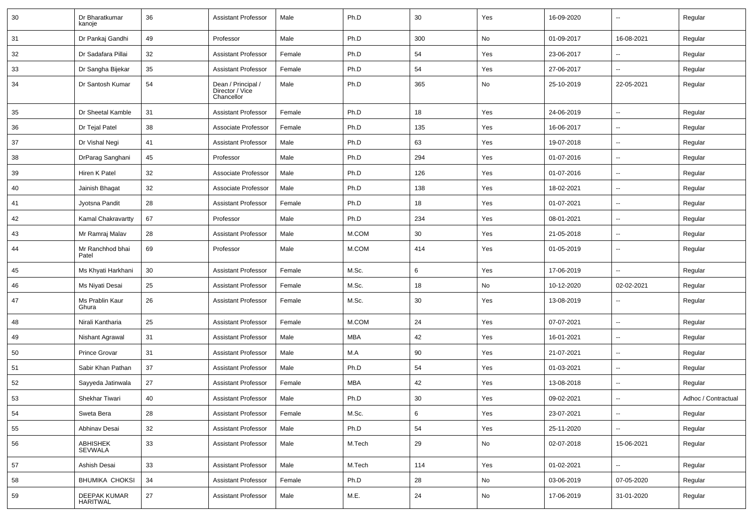| 30 | Dr Bharatkumar<br>kanoje        | 36 | <b>Assistant Professor</b>                          | Male   | Ph.D   | 30  | Yes | 16-09-2020 | $\overline{\phantom{a}}$ | Regular             |
|----|---------------------------------|----|-----------------------------------------------------|--------|--------|-----|-----|------------|--------------------------|---------------------|
| 31 | Dr Pankaj Gandhi                | 49 | Professor                                           | Male   | Ph.D   | 300 | No  | 01-09-2017 | 16-08-2021               | Regular             |
| 32 | Dr Sadafara Pillai              | 32 | <b>Assistant Professor</b>                          | Female | Ph.D   | 54  | Yes | 23-06-2017 | -−                       | Regular             |
| 33 | Dr Sangha Bijekar               | 35 | <b>Assistant Professor</b>                          | Female | Ph.D   | 54  | Yes | 27-06-2017 | н.                       | Regular             |
| 34 | Dr Santosh Kumar                | 54 | Dean / Principal /<br>Director / Vice<br>Chancellor | Male   | Ph.D   | 365 | No  | 25-10-2019 | 22-05-2021               | Regular             |
| 35 | Dr Sheetal Kamble               | 31 | <b>Assistant Professor</b>                          | Female | Ph.D   | 18  | Yes | 24-06-2019 | -−                       | Regular             |
| 36 | Dr Tejal Patel                  | 38 | Associate Professor                                 | Female | Ph.D   | 135 | Yes | 16-06-2017 | $\overline{\phantom{a}}$ | Regular             |
| 37 | Dr Vishal Negi                  | 41 | <b>Assistant Professor</b>                          | Male   | Ph.D   | 63  | Yes | 19-07-2018 | --                       | Regular             |
| 38 | DrParag Sanghani                | 45 | Professor                                           | Male   | Ph.D   | 294 | Yes | 01-07-2016 | $\overline{\phantom{a}}$ | Regular             |
| 39 | Hiren K Patel                   | 32 | Associate Professor                                 | Male   | Ph.D   | 126 | Yes | 01-07-2016 | $\overline{\phantom{a}}$ | Regular             |
| 40 | Jainish Bhagat                  | 32 | Associate Professor                                 | Male   | Ph.D   | 138 | Yes | 18-02-2021 | --                       | Regular             |
| 41 | Jyotsna Pandit                  | 28 | <b>Assistant Professor</b>                          | Female | Ph.D   | 18  | Yes | 01-07-2021 | ⊷.                       | Regular             |
| 42 | Kamal Chakravartty              | 67 | Professor                                           | Male   | Ph.D   | 234 | Yes | 08-01-2021 | $\overline{\phantom{a}}$ | Regular             |
| 43 | Mr Ramraj Malav                 | 28 | <b>Assistant Professor</b>                          | Male   | M.COM  | 30  | Yes | 21-05-2018 | --                       | Regular             |
| 44 | Mr Ranchhod bhai<br>Patel       | 69 | Professor                                           | Male   | M.COM  | 414 | Yes | 01-05-2019 | $\overline{\phantom{a}}$ | Regular             |
| 45 | Ms Khyati Harkhani              | 30 | <b>Assistant Professor</b>                          | Female | M.Sc.  | 6   | Yes | 17-06-2019 | -−                       | Regular             |
| 46 | Ms Niyati Desai                 | 25 | <b>Assistant Professor</b>                          | Female | M.Sc.  | 18  | No  | 10-12-2020 | 02-02-2021               | Regular             |
| 47 | Ms Prablin Kaur<br>Ghura        | 26 | <b>Assistant Professor</b>                          | Female | M.Sc.  | 30  | Yes | 13-08-2019 | --                       | Regular             |
| 48 | Nirali Kantharia                | 25 | <b>Assistant Professor</b>                          | Female | M.COM  | 24  | Yes | 07-07-2021 | --                       | Regular             |
| 49 | Nishant Agrawal                 | 31 | <b>Assistant Professor</b>                          | Male   | MBA    | 42  | Yes | 16-01-2021 | $\overline{\phantom{a}}$ | Regular             |
| 50 | <b>Prince Grovar</b>            | 31 | <b>Assistant Professor</b>                          | Male   | M.A    | 90  | Yes | 21-07-2021 | $\overline{\phantom{a}}$ | Regular             |
| 51 | Sabir Khan Pathan               | 37 | <b>Assistant Professor</b>                          | Male   | Ph.D   | 54  | Yes | 01-03-2021 | --                       | Regular             |
| 52 | Sayyeda Jatinwala               | 27 | <b>Assistant Professor</b>                          | Female | MBA    | 42  | Yes | 13-08-2018 | $\overline{\phantom{a}}$ | Regular             |
| 53 | <b>Shekhar Tiwari</b>           | 40 | <b>Assistant Professor</b>                          | Male   | Ph.D   | 30  | Yes | 09-02-2021 | $\overline{\phantom{a}}$ | Adhoc / Contractual |
| 54 | Sweta Bera                      | 28 | <b>Assistant Professor</b>                          | Female | M.Sc.  | 6   | Yes | 23-07-2021 | $\sim$                   | Regular             |
| 55 | Abhinav Desai                   | 32 | <b>Assistant Professor</b>                          | Male   | Ph.D   | 54  | Yes | 25-11-2020 | ш.                       | Regular             |
| 56 | <b>ABHISHEK</b><br>SEVWALA      | 33 | <b>Assistant Professor</b>                          | Male   | M.Tech | 29  | No  | 02-07-2018 | 15-06-2021               | Regular             |
| 57 | Ashish Desai                    | 33 | <b>Assistant Professor</b>                          | Male   | M.Tech | 114 | Yes | 01-02-2021 | -−                       | Regular             |
| 58 | <b>BHUMIKA CHOKSI</b>           | 34 | <b>Assistant Professor</b>                          | Female | Ph.D   | 28  | No  | 03-06-2019 | 07-05-2020               | Regular             |
| 59 | DEEPAK KUMAR<br><b>HARITWAL</b> | 27 | <b>Assistant Professor</b>                          | Male   | M.E.   | 24  | No  | 17-06-2019 | 31-01-2020               | Regular             |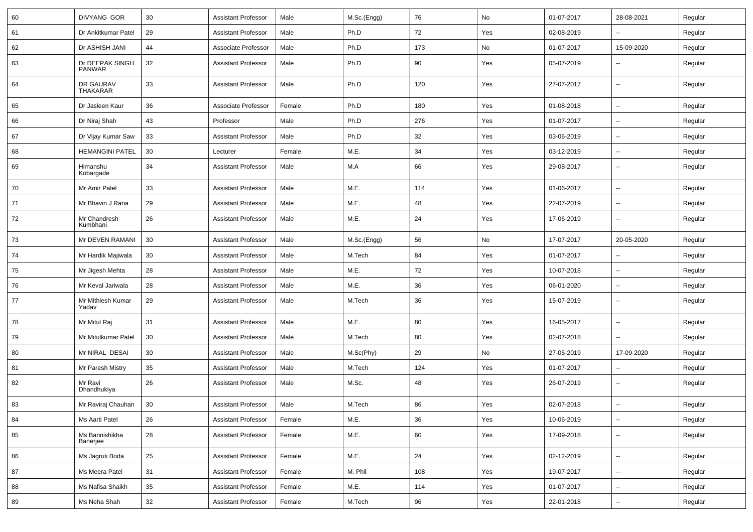| 60 | DIVYANG GOR                      | 30 | <b>Assistant Professor</b> | Male   | M.Sc.(Engg) | 76  | No  | 01-07-2017 | 28-08-2021               | Regular |
|----|----------------------------------|----|----------------------------|--------|-------------|-----|-----|------------|--------------------------|---------|
| 61 | Dr Ankitkumar Patel              | 29 | <b>Assistant Professor</b> | Male   | Ph.D        | 72  | Yes | 02-08-2019 | Ш,                       | Regular |
| 62 | Dr ASHISH JANI                   | 44 | Associate Professor        | Male   | Ph.D        | 173 | No  | 01-07-2017 | 15-09-2020               | Regular |
| 63 | Dr DEEPAK SINGH<br><b>PANWAR</b> | 32 | <b>Assistant Professor</b> | Male   | Ph.D        | 90  | Yes | 05-07-2019 |                          | Regular |
| 64 | DR GAURAV<br><b>THAKARAR</b>     | 33 | <b>Assistant Professor</b> | Male   | Ph.D        | 120 | Yes | 27-07-2017 | --                       | Regular |
| 65 | Dr Jasleen Kaur                  | 36 | Associate Professor        | Female | Ph.D        | 180 | Yes | 01-08-2018 | --                       | Regular |
| 66 | Dr Niraj Shah                    | 43 | Professor                  | Male   | Ph.D        | 276 | Yes | 01-07-2017 | $\overline{\phantom{a}}$ | Regular |
| 67 | Dr Vijay Kumar Saw               | 33 | <b>Assistant Professor</b> | Male   | Ph.D        | 32  | Yes | 03-06-2019 | $\overline{\phantom{a}}$ | Regular |
| 68 | <b>HEMANGINI PATEL</b>           | 30 | Lecturer                   | Female | M.E.        | 34  | Yes | 03-12-2019 | ⊷.                       | Regular |
| 69 | Himanshu<br>Kobargade            | 34 | <b>Assistant Professor</b> | Male   | M.A         | 66  | Yes | 29-08-2017 | --                       | Regular |
| 70 | Mr Amir Patel                    | 33 | <b>Assistant Professor</b> | Male   | M.E.        | 114 | Yes | 01-06-2017 | $\overline{\phantom{a}}$ | Regular |
| 71 | Mr Bhavin J Rana                 | 29 | <b>Assistant Professor</b> | Male   | M.E.        | 48  | Yes | 22-07-2019 | $\overline{a}$           | Regular |
| 72 | Mr Chandresh<br>Kumbhani         | 26 | <b>Assistant Professor</b> | Male   | M.E.        | 24  | Yes | 17-06-2019 | --                       | Regular |
| 73 | Mr DEVEN RAMANI                  | 30 | <b>Assistant Professor</b> | Male   | M.Sc.(Engg) | 56  | No  | 17-07-2017 | 20-05-2020               | Regular |
| 74 | Mr Hardik Majiwala               | 30 | <b>Assistant Professor</b> | Male   | M.Tech      | 84  | Yes | 01-07-2017 |                          | Regular |
| 75 | Mr Jigesh Mehta                  | 28 | <b>Assistant Professor</b> | Male   | M.E.        | 72  | Yes | 10-07-2018 | $\overline{\phantom{a}}$ | Regular |
| 76 | Mr Keval Jariwala                | 28 | <b>Assistant Professor</b> | Male   | M.E.        | 36  | Yes | 06-01-2020 | н.                       | Regular |
| 77 | Mr Mithlesh Kumar<br>Yadav       | 29 | <b>Assistant Professor</b> | Male   | M.Tech      | 36  | Yes | 15-07-2019 | $\overline{\phantom{a}}$ | Regular |
| 78 | Mr Mitul Raj                     | 31 | <b>Assistant Professor</b> | Male   | M.E.        | 80  | Yes | 16-05-2017 | $\overline{\phantom{a}}$ | Regular |
| 79 | Mr Mitulkumar Patel              | 30 | <b>Assistant Professor</b> | Male   | M.Tech      | 80  | Yes | 02-07-2018 |                          | Regular |
| 80 | Mr NIRAL DESAI                   | 30 | <b>Assistant Professor</b> | Male   | M.Sc(Phy)   | 29  | No  | 27-05-2019 | 17-09-2020               | Regular |
| 81 | Mr Paresh Mistry                 | 35 | <b>Assistant Professor</b> | Male   | M.Tech      | 124 | Yes | 01-07-2017 | --                       | Regular |
| 82 | Mr Ravi<br>Dhandhukiya           | 26 | <b>Assistant Professor</b> | Male   | M.Sc.       | 48  | Yes | 26-07-2019 | ⊷.                       | Regular |
| 83 | Mr Raviraj Chauhan               | 30 | <b>Assistant Professor</b> | Male   | M.Tech      | 86  | Yes | 02-07-2018 | -−                       | Regular |
| 84 | Ms Aarti Patel                   | 26 | <b>Assistant Professor</b> | Female | M.E.        | 36  | Yes | 10-06-2019 | $\sim$                   | Regular |
| 85 | Ms Bannishikha<br>Banerjee       | 28 | <b>Assistant Professor</b> | Female | M.E.        | 60  | Yes | 17-09-2018 | $\sim$                   | Regular |
| 86 | Ms Jagruti Boda                  | 25 | <b>Assistant Professor</b> | Female | M.E.        | 24  | Yes | 02-12-2019 | $\overline{\phantom{a}}$ | Regular |
| 87 | Ms Meera Patel                   | 31 | <b>Assistant Professor</b> | Female | M. Phil     | 108 | Yes | 19-07-2017 | $\sim$                   | Regular |
| 88 | Ms Nafisa Shaikh                 | 35 | <b>Assistant Professor</b> | Female | M.E.        | 114 | Yes | 01-07-2017 | ш.                       | Regular |
| 89 | Ms Neha Shah                     | 32 | <b>Assistant Professor</b> | Female | M.Tech      | 96  | Yes | 22-01-2018 | $\overline{\phantom{a}}$ | Regular |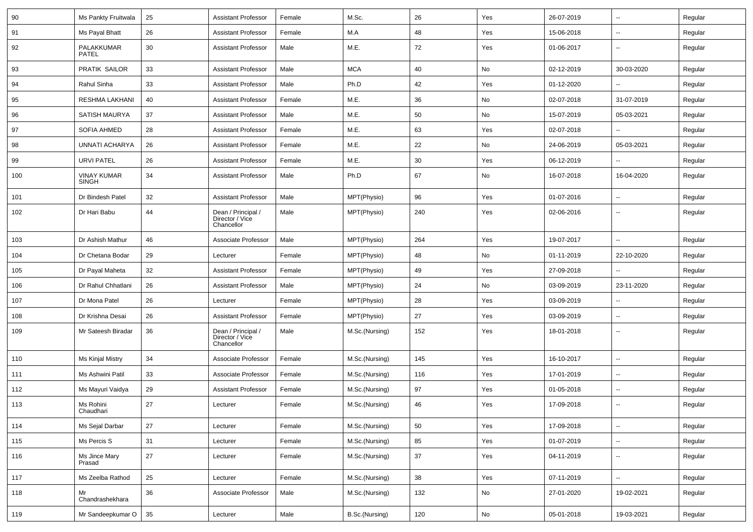| 90  | Ms Pankty Fruitwala         | 25 | <b>Assistant Professor</b>                          | Female | M.Sc.          | 26  | Yes | 26-07-2019 | $\sim$                   | Regular |
|-----|-----------------------------|----|-----------------------------------------------------|--------|----------------|-----|-----|------------|--------------------------|---------|
| 91  | Ms Payal Bhatt              | 26 | <b>Assistant Professor</b>                          | Female | M.A            | 48  | Yes | 15-06-2018 | $\sim$                   | Regular |
| 92  | PALAKKUMAR<br><b>PATEL</b>  | 30 | <b>Assistant Professor</b>                          | Male   | M.E.           | 72  | Yes | 01-06-2017 | $\sim$                   | Regular |
| 93  | PRATIK SAILOR               | 33 | <b>Assistant Professor</b>                          | Male   | <b>MCA</b>     | 40  | No  | 02-12-2019 | 30-03-2020               | Regular |
| 94  | Rahul Sinha                 | 33 | <b>Assistant Professor</b>                          | Male   | Ph.D           | 42  | Yes | 01-12-2020 |                          | Regular |
| 95  | RESHMA LAKHANI              | 40 | <b>Assistant Professor</b>                          | Female | M.E.           | 36  | No  | 02-07-2018 | 31-07-2019               | Regular |
| 96  | SATISH MAURYA               | 37 | <b>Assistant Professor</b>                          | Male   | M.E.           | 50  | No  | 15-07-2019 | 05-03-2021               | Regular |
| 97  | <b>SOFIA AHMED</b>          | 28 | <b>Assistant Professor</b>                          | Female | M.E.           | 63  | Yes | 02-07-2018 |                          | Regular |
| 98  | UNNATI ACHARYA              | 26 | <b>Assistant Professor</b>                          | Female | M.E.           | 22  | No  | 24-06-2019 | 05-03-2021               | Regular |
| 99  | <b>URVI PATEL</b>           | 26 | <b>Assistant Professor</b>                          | Female | M.E.           | 30  | Yes | 06-12-2019 |                          | Regular |
| 100 | VINAY KUMAR<br><b>SINGH</b> | 34 | <b>Assistant Professor</b>                          | Male   | Ph.D           | 67  | No  | 16-07-2018 | 16-04-2020               | Regular |
| 101 | Dr Bindesh Patel            | 32 | <b>Assistant Professor</b>                          | Male   | MPT(Physio)    | 96  | Yes | 01-07-2016 |                          | Regular |
| 102 | Dr Hari Babu                | 44 | Dean / Principal /<br>Director / Vice<br>Chancellor | Male   | MPT(Physio)    | 240 | Yes | 02-06-2016 | --                       | Regular |
| 103 | Dr Ashish Mathur            | 46 | Associate Professor                                 | Male   | MPT(Physio)    | 264 | Yes | 19-07-2017 |                          | Regular |
| 104 | Dr Chetana Bodar            | 29 | Lecturer                                            | Female | MPT(Physio)    | 48  | No  | 01-11-2019 | 22-10-2020               | Regular |
| 105 | Dr Payal Maheta             | 32 | <b>Assistant Professor</b>                          | Female | MPT(Physio)    | 49  | Yes | 27-09-2018 |                          | Regular |
| 106 | Dr Rahul Chhatlani          | 26 | <b>Assistant Professor</b>                          | Male   | MPT(Physio)    | 24  | No  | 03-09-2019 | 23-11-2020               | Regular |
| 107 | Dr Mona Patel               | 26 | Lecturer                                            | Female | MPT(Physio)    | 28  | Yes | 03-09-2019 | $\sim$                   | Regular |
| 108 | Dr Krishna Desai            | 26 | <b>Assistant Professor</b>                          | Female | MPT(Physio)    | 27  | Yes | 03-09-2019 | --                       | Regular |
| 109 | Mr Sateesh Biradar          | 36 | Dean / Principal /<br>Director / Vice<br>Chancellor | Male   | M.Sc.(Nursing) | 152 | Yes | 18-01-2018 | --                       | Regular |
| 110 | Ms Kinjal Mistry            | 34 | Associate Professor                                 | Female | M.Sc.(Nursing) | 145 | Yes | 16-10-2017 | --                       | Regular |
| 111 | Ms Ashwini Patil            | 33 | Associate Professor                                 | Female | M.Sc.(Nursing) | 116 | Yes | 17-01-2019 | --                       | Regular |
| 112 | Ms Mayuri Vaidya            | 29 | <b>Assistant Professor</b>                          | Female | M.Sc.(Nursing) | 97  | Yes | 01-05-2018 | --                       | Regular |
| 113 | Ms Rohini<br>Unaudnari      | 27 | Lecturer                                            | Female | M.Sc.(Nursing) | 46  | Yes | 17-09-2018 |                          | Regular |
| 114 | Ms Sejal Darbar             | 27 | Lecturer                                            | Female | M.Sc.(Nursing) | 50  | Yes | 17-09-2018 | Ξ.                       | Regular |
| 115 | Ms Percis S                 | 31 | Lecturer                                            | Female | M.Sc.(Nursing) | 85  | Yes | 01-07-2019 | Ξ.                       | Regular |
| 116 | Ms Jince Mary<br>Prasad     | 27 | Lecturer                                            | Female | M.Sc.(Nursing) | 37  | Yes | 04-11-2019 | $\overline{\phantom{a}}$ | Regular |
| 117 | Ms Zeelba Rathod            | 25 | Lecturer                                            | Female | M.Sc.(Nursing) | 38  | Yes | 07-11-2019 | Ξ.                       | Regular |
| 118 | Mr<br>Chandrashekhara       | 36 | Associate Professor                                 | Male   | M.Sc.(Nursing) | 132 | No  | 27-01-2020 | 19-02-2021               | Regular |
| 119 | Mr Sandeepkumar O           | 35 | Lecturer                                            | Male   | B.Sc.(Nursing) | 120 | No  | 05-01-2018 | 19-03-2021               | Regular |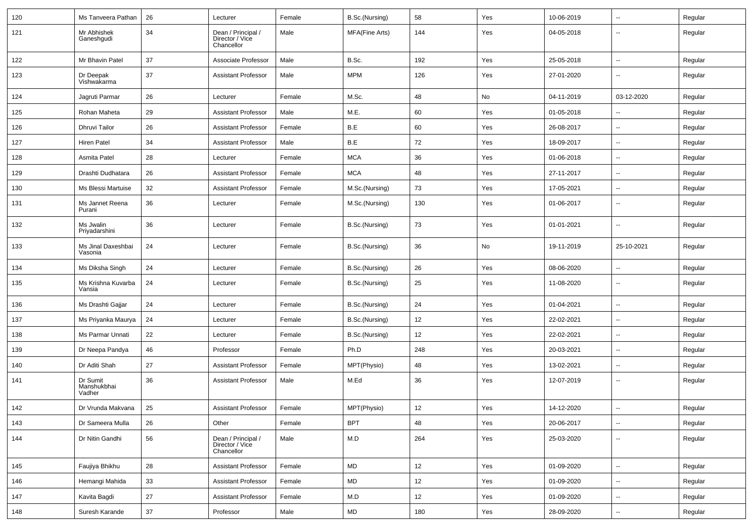| 120 | Ms Tanveera Pathan                | 26 | Lecturer                                            | Female | B.Sc.(Nursing) | 58              | Yes | 10-06-2019 | $\overline{\phantom{a}}$ | Regular |
|-----|-----------------------------------|----|-----------------------------------------------------|--------|----------------|-----------------|-----|------------|--------------------------|---------|
| 121 | Mr Abhishek<br>Ganeshgudi         | 34 | Dean / Principal /<br>Director / Vice<br>Chancellor | Male   | MFA(Fine Arts) | 144             | Yes | 04-05-2018 | --                       | Regular |
| 122 | Mr Bhavin Patel                   | 37 | Associate Professor                                 | Male   | B.Sc.          | 192             | Yes | 25-05-2018 | $\sim$                   | Regular |
| 123 | Dr Deepak<br>Vishwakarma          | 37 | <b>Assistant Professor</b>                          | Male   | <b>MPM</b>     | 126             | Yes | 27-01-2020 | -−                       | Regular |
| 124 | Jagruti Parmar                    | 26 | Lecturer                                            | Female | M.Sc.          | 48              | No  | 04-11-2019 | 03-12-2020               | Regular |
| 125 | Rohan Maheta                      | 29 | <b>Assistant Professor</b>                          | Male   | M.E.           | 60              | Yes | 01-05-2018 | $\overline{a}$           | Regular |
| 126 | <b>Dhruvi Tailor</b>              | 26 | <b>Assistant Professor</b>                          | Female | B.E            | 60              | Yes | 26-08-2017 | -−                       | Regular |
| 127 | Hiren Patel                       | 34 | <b>Assistant Professor</b>                          | Male   | B.E            | 72              | Yes | 18-09-2017 | Ξ.                       | Regular |
| 128 | Asmita Patel                      | 28 | Lecturer                                            | Female | <b>MCA</b>     | 36              | Yes | 01-06-2018 | $\sim$                   | Regular |
| 129 | Drashti Dudhatara                 | 26 | <b>Assistant Professor</b>                          | Female | <b>MCA</b>     | 48              | Yes | 27-11-2017 | ⊷.                       | Regular |
| 130 | Ms Blessi Martuise                | 32 | <b>Assistant Professor</b>                          | Female | M.Sc.(Nursing) | 73              | Yes | 17-05-2021 | $\overline{\phantom{a}}$ | Regular |
| 131 | Ms Jannet Reena<br>Purani         | 36 | Lecturer                                            | Female | M.Sc.(Nursing) | 130             | Yes | 01-06-2017 | --                       | Regular |
| 132 | Ms Jwalin<br>Priyadarshini        | 36 | Lecturer                                            | Female | B.Sc.(Nursing) | 73              | Yes | 01-01-2021 | $\overline{\phantom{a}}$ | Regular |
| 133 | Ms Jinal Daxeshbai<br>Vasonia     | 24 | Lecturer                                            | Female | B.Sc.(Nursing) | 36              | No  | 19-11-2019 | 25-10-2021               | Regular |
| 134 | Ms Diksha Singh                   | 24 | Lecturer                                            | Female | B.Sc.(Nursing) | 26              | Yes | 08-06-2020 | $\overline{\phantom{a}}$ | Regular |
| 135 | Ms Krishna Kuvarba<br>Vansia      | 24 | Lecturer                                            | Female | B.Sc.(Nursing) | 25              | Yes | 11-08-2020 | --                       | Regular |
| 136 | Ms Drashti Gajjar                 | 24 | Lecturer                                            | Female | B.Sc.(Nursing) | 24              | Yes | 01-04-2021 | $\overline{\phantom{a}}$ | Regular |
| 137 | Ms Priyanka Maurya                | 24 | Lecturer                                            | Female | B.Sc.(Nursing) | 12              | Yes | 22-02-2021 | $\overline{\phantom{a}}$ | Regular |
| 138 | Ms Parmar Unnati                  | 22 | Lecturer                                            | Female | B.Sc.(Nursing) | 12              | Yes | 22-02-2021 | ⊷.                       | Regular |
| 139 | Dr Neepa Pandya                   | 46 | Professor                                           | Female | Ph.D           | 248             | Yes | 20-03-2021 | ⊷.                       | Regular |
| 140 | Dr Aditi Shah                     | 27 | <b>Assistant Professor</b>                          | Female | MPT(Physio)    | 48              | Yes | 13-02-2021 | $\overline{\phantom{a}}$ | Regular |
| 141 | Dr Sumit<br>Manshukbhai<br>Vadher | 36 | <b>Assistant Professor</b>                          | Male   | M.Ed           | 36              | Yes | 12-07-2019 | --                       | Regular |
| 142 | Dr Vrunda Makvana                 | 25 | <b>Assistant Professor</b>                          | Female | MPT(Physio)    | 12 <sup>°</sup> | Yes | 14-12-2020 | $\overline{\phantom{a}}$ | Regular |
| 143 | Dr Sameera Mulla                  | 26 | Other                                               | Female | <b>BPT</b>     | 48              | Yes | 20-06-2017 | $\sim$                   | Regular |
| 144 | Dr Nitin Gandhi                   | 56 | Dean / Principal /<br>Director / Vice<br>Chancellor | Male   | M.D            | 264             | Yes | 25-03-2020 | -−                       | Regular |
| 145 | Faujiya Bhikhu                    | 28 | <b>Assistant Professor</b>                          | Female | MD             | 12              | Yes | 01-09-2020 | $\sim$                   | Regular |
| 146 | Hemangi Mahida                    | 33 | <b>Assistant Professor</b>                          | Female | MD             | 12              | Yes | 01-09-2020 | ш,                       | Regular |
| 147 | Kavita Bagdi                      | 27 | <b>Assistant Professor</b>                          | Female | M.D            | 12              | Yes | 01-09-2020 | $\overline{\phantom{a}}$ | Regular |
| 148 | Suresh Karande                    | 37 | Professor                                           | Male   | MD             | 180             | Yes | 28-09-2020 | $\overline{\phantom{a}}$ | Regular |